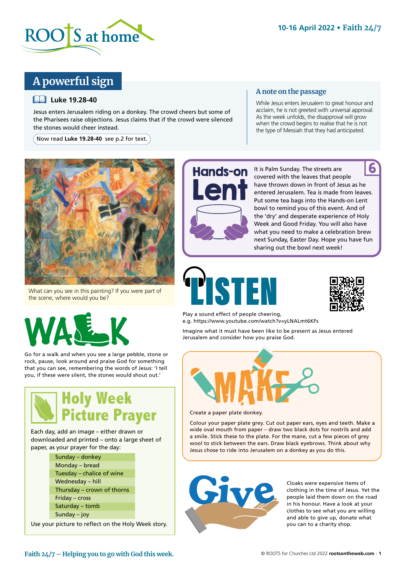

# **A powerful sign**

## **Luke 19.28-40**

Jesus enters Jerusalem riding on a donkey. The crowd cheers but some of the Pharisees raise objections. Jesus claims that if the crowd were silenced the stones would cheer instead.

Now read **Luke 19.28-40** see p.2 for text.

## **A note on the passage**

While Jesus enters Jerusalem to great honour and acclaim, he is not greeted with universal approval. As the week unfolds, the disapproval will grow when the crowd begins to realise that he is not the type of Messiah that they had anticipated.



What can you see in this painting? If you were part of the scene, where would you be?



Go for a walk and when you see a large pebble, stone or rock, pause, look around and praise God for something that you can see, remembering the words of Jesus: 'I tell you, if these were silent, the stones would shout out.'



Each day, add an image – either drawn or downloaded and printed – onto a large sheet of paper, as your prayer for the day:

| Sunday – donkey            |
|----------------------------|
| Monday - bread             |
| Tuesday – chalice of wine  |
| Wednesday - hill           |
| Thursday - crown of thorns |
| Friday - cross             |
| Saturday - tomb            |
| Sunday $-$ joy             |
|                            |

Use your picture to reflect on the Holy Week story.



It is Palm Sunday. The streets are covered with the leaves that people have thrown down in front of Jesus as he entered Jerusalem. Tea is made from leaves. Put some tea bags into the Hands-on Lent bowl to remind you of this event. And of the 'dry' and desperate experience of Holy Week and Good Friday. You will also have what you need to make a celebration brew next Sunday, Easter Day. Hope you have fun sharing out the bowl next week! 6



Play a sound effect of people cheering, e.g. https://www.youtube.com/watch?v=yLNALmt6KFs

Imagine what it must have been like to be present as Jesus entered Jerusalem and consider how you praise God.



Create a paper plate donkey.

Colour your paper plate grey. Cut out paper ears, eyes and teeth. Make a wide oval mouth from paper – draw two black dots for nostrils and add a smile. Stick these to the plate. For the mane, cut a few pieces of grey wool to stick between the ears. Draw black eyebrows. Think about why Jesus chose to ride into Jerusalem on a donkey as you do this.



Cloaks were expensive items of clothing in the time of Jesus. Yet the people laid them down on the road in his honour. Have a look at your clothes to see what you are willing and able to give up, donate what you can to a charity shop.